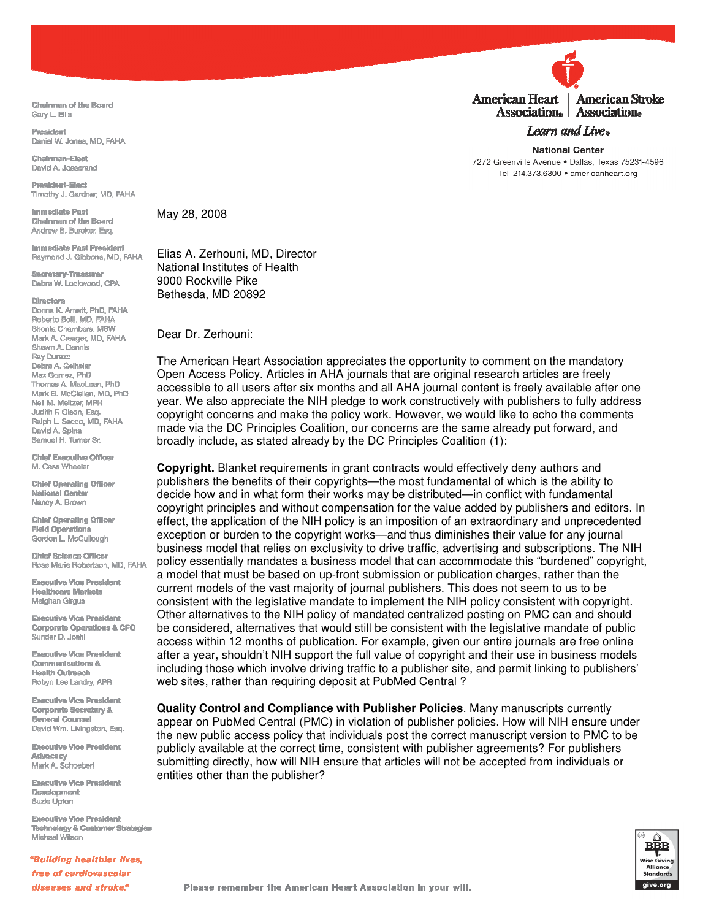Chairman of the Board Garv L. Ellis

President Daniel W. Jones, MD, FAHA

Chairman-Flact David A. Josserand

President-Elect Timothy J. Gardner, MD. FAHA

Immediate Past Chairman of the Board Andrew B. Buroker, Esq.

**Immediate Past President** Raymond J. Gibbons, MD, FAHA

Secretary-Treasurer Debra W. Lockwood, CPA

## **Directors**

Dorina K. Arnett, PhD, FAHA Roberto Bolli, MD, FAHA Shonta Chambers, MSW Mark A. Creager, MD, FAHA Shawn A. Dennis Ray Durazo Debra A. Geihsler Max Gomez, PhD Thomas A. MacLean, PhD Mark B. McClellan, MD, PhD Neil M. Meltzer, MPH Judith F. Olson, Esq. Ralph L. Sacco, MD, FAHA David A. Spina Samuel H. Turner Sr.

**Chief Executive Officer** M. Cass Wheeler

**Chief Operating Officer National Center** Nancy A. Brown

**Chief Operating Officer Field Operations** Gordon L. McCullough

**Chief Science Officer** Rose Marie Robertson, MD, FAHA

**Executive Vice President Healthcare Markets Meighan Girgus** 

**Executive Vice President Corporate Operations & CFO** Sunder D. Joshi

**Executive Vice President Communications & Health Outreach** Robyn Lee Landry, APR

**Executive Vice President Corporate Secretary & General Counsel** David Wm. Livingston, Esq.

**Executive Vice President** Advocacy Mark A. Schoeber

**Executive Vice President** Development Suzie Upton

**Executive Vice President Technology & Customer Strategies** Michael Wilson

"Building healthier lives. free of cardiovascular diseases and stroke."

May 28, 2008

Elias A. Zerhouni, MD, Director National Institutes of Health 9000 Rockville Pike Bethesda, MD 20892

Dear Dr. Zerhouni:

The American Heart Association appreciates the opportunity to comment on the mandatory Open Access Policy. Articles in AHA journals that are original research articles are freely accessible to all users after six months and all AHA journal content is freely available after one year. We also appreciate the NIH pledge to work constructively with publishers to fully address copyright concerns and make the policy work. However, we would like to echo the comments made via the DC Principles Coalition, our concerns are the same already put forward, and broadly include, as stated already by the DC Principles Coalition (1):

Copyright. Blanket requirements in grant contracts would effectively deny authors and publishers the benefits of their copyrights—the most fundamental of which is the ability to decide how and in what form their works may be distributed—in conflict with fundamental copyright principles and without compensation for the value added by publishers and editors. In effect, the application of the NIH policy is an imposition of an extraordinary and unprecedented exception or burden to the copyright works-and thus diminishes their value for any journal business model that relies on exclusivity to drive traffic, advertising and subscriptions. The NIH policy essentially mandates a business model that can accommodate this "burdened" copyright, a model that must be based on up-front submission or publication charges, rather than the current models of the vast majority of journal publishers. This does not seem to us to be consistent with the legislative mandate to implement the NIH policy consistent with copyright. Other alternatives to the NIH policy of mandated centralized posting on PMC can and should be considered, alternatives that would still be consistent with the legislative mandate of public access within 12 months of publication. For example, given our entire journals are free online after a year, shouldn't NIH support the full value of copyright and their use in business models including those which involve driving traffic to a publisher site, and permit linking to publishers' web sites, rather than requiring deposit at PubMed Central?

Quality Control and Compliance with Publisher Policies. Many manuscripts currently appear on PubMed Central (PMC) in violation of publisher policies. How will NIH ensure under the new public access policy that individuals post the correct manuscript version to PMC to be publicly available at the correct time, consistent with publisher agreements? For publishers submitting directly, how will NIH ensure that articles will not be accepted from individuals or entities other than the publisher?





Association. | Association. Learn and Live.

**National Center** 7272 Greenville Avenue . Dallas, Texas 75231-4596 Tel 214.373.6300 · americanheart.org